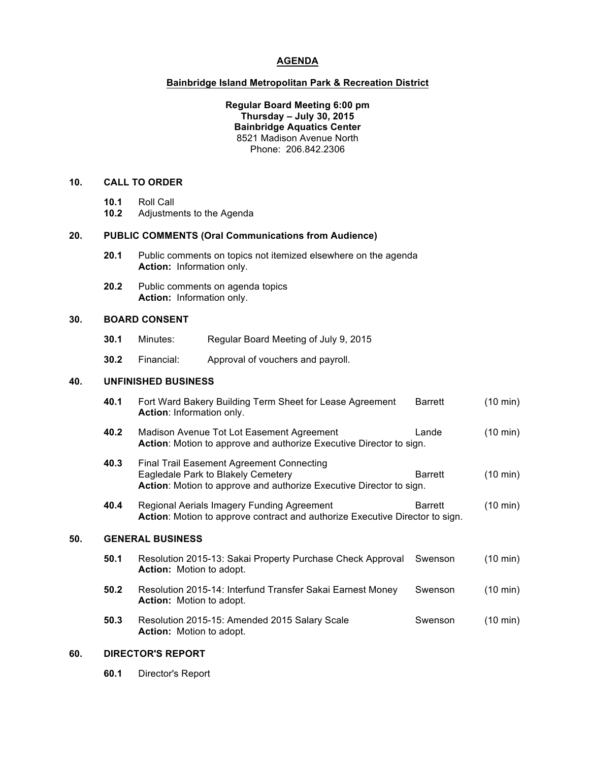# **AGENDA**

#### **Bainbridge Island Metropolitan Park & Recreation District**

**Regular&Board&Meeting 6:00 pm Thursday – July&30, 2015 Bainbridge Aquatics Center** 8521 Madison Avenue North Phone:%%206.842.2306

# **10. CALL&TO&ORDER**

- 10.1 Roll Call<br>10.2 Adiustme
- Adjustments to the Agenda

## 20. **PUBLIC COMMENTS (Oral Communications from Audience)**

- **20.1** Public comments on topics not itemized elsewhere on the agenda **Action:** Information only.
- **20.2** Public comments on agenda topics **Action:** Information only.

#### **30. BOARD&CONSENT**

- **30.1** Minutes: Regular Board Meeting of July 9, 2015
- **30.2** Financial: Approval of vouchers and payroll.

## **40. UNFINISHED&BUSINESS**

|     | 40.1                    | Fort Ward Bakery Building Term Sheet for Lease Agreement<br>Action: Information only.                                                                         | Barrett        | $(10 \text{ min})$ |
|-----|-------------------------|---------------------------------------------------------------------------------------------------------------------------------------------------------------|----------------|--------------------|
|     | 40.2                    | Madison Avenue Tot Lot Easement Agreement<br>Action: Motion to approve and authorize Executive Director to sign.                                              | Lande          | $(10 \text{ min})$ |
|     | 40.3                    | <b>Final Trail Easement Agreement Connecting</b><br>Eagledale Park to Blakely Cemetery<br>Action: Motion to approve and authorize Executive Director to sign. | <b>Barrett</b> | (10 min)           |
|     | 40.4                    | Regional Aerials Imagery Funding Agreement<br>Action: Motion to approve contract and authorize Executive Director to sign.                                    | Barrett        | $(10 \text{ min})$ |
| 50. | <b>GENERAL BUSINESS</b> |                                                                                                                                                               |                |                    |
|     | 50.1                    | Resolution 2015-13: Sakai Property Purchase Check Approval<br><b>Action:</b> Motion to adopt.                                                                 | Swenson        | $(10 \text{ min})$ |
|     | 50.2                    | Resolution 2015-14: Interfund Transfer Sakai Earnest Money<br><b>Action:</b> Motion to adopt.                                                                 | Swenson        | (10 min)           |
|     | 50.3                    | Resolution 2015-15: Amended 2015 Salary Scale<br><b>Action:</b> Motion to adopt.                                                                              | Swenson        | (10 min)           |

# **60. DIRECTOR'S&REPORT**

**60.1** Director's Report